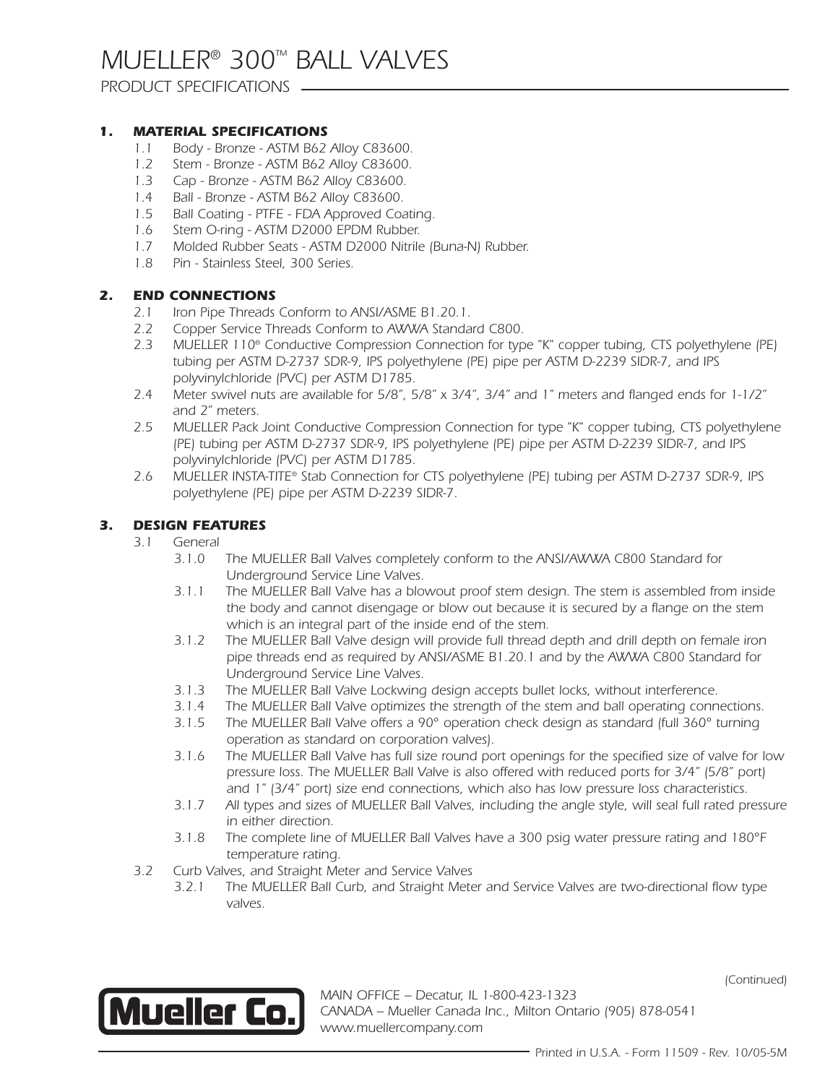### *PRODUCT SPECIFICATIONS*

### *1. MATERIAL SPECIFICATIONS*

- *1.1 Body Bronze ASTM B62 Alloy C83600.*
- *1.2 Stem Bronze ASTM B62 Alloy C83600.*
- *1.3 Cap Bronze ASTM B62 Alloy C83600.*
- *1.4 Ball Bronze ASTM B62 Alloy C83600.*
- *1.5 Ball Coating PTFE FDA Approved Coating.*
- *1.6 Stem O-ring ASTM D2000 EPDM Rubber.*
- *1.7 Molded Rubber Seats ASTM D2000 Nitrile (Buna-N) Rubber.*
- *1.8 Pin Stainless Steel, 300 Series.*

### *2. END CONNECTIONS*

- *2.1 Iron Pipe Threads Conform to ANSI/ASME B1.20.1.*
- *2.2 Copper Service Threads Conform to AWWA Standard C800.*
- *2.3 MUELLER 110® Conductive Compression Connection for type "K" copper tubing, CTS polyethylene (PE) tubing per ASTM D-2737 SDR-9, IPS polyethylene (PE) pipe per ASTM D-2239 SIDR-7, and IPS polyvinylchloride (PVC) per ASTM D1785.*
- *2.4 Meter swivel nuts are available for 5/8", 5/8" x 3/4", 3/4" and 1" meters and flanged ends for 1-1/2" and 2" meters.*
- *2.5 MUELLER Pack Joint Conductive Compression Connection for type "K" copper tubing, CTS polyethylene (PE) tubing per ASTM D-2737 SDR-9, IPS polyethylene (PE) pipe per ASTM D-2239 SIDR-7, and IPS polyvinylchloride (PVC) per ASTM D1785.*
- *2.6 MUELLER INSTA-TITE® Stab Connection for CTS polyethylene (PE) tubing per ASTM D-2737 SDR-9, IPS polyethylene (PE) pipe per ASTM D-2239 SIDR-7.*

### *3. DESIGN FEATURES*

- *3.1 General*
	- *3.1.0 The MUELLER Ball Valves completely conform to the ANSI/AWWA C800 Standard for Underground Service Line Valves.*
	- *3.1.1 The MUELLER Ball Valve has a blowout proof stem design. The stem is assembled from inside the body and cannot disengage or blow out because it is secured by a flange on the stem which is an integral part of the inside end of the stem.*
	- *3.1.2 The MUELLER Ball Valve design will provide full thread depth and drill depth on female iron pipe threads end as required by ANSI/ASME B1.20.1 and by the AWWA C800 Standard for Underground Service Line Valves.*
	- *3.1.3 The MUELLER Ball Valve Lockwing design accepts bullet locks, without interference.*
	- *3.1.4 The MUELLER Ball Valve optimizes the strength of the stem and ball operating connections.*
	- *3.1.5 The MUELLER Ball Valve offers a 90° operation check design as standard (full 360° turning operation as standard on corporation valves).*
	- *3.1.6 The MUELLER Ball Valve has full size round port openings for the specified size of valve for low pressure loss. The MUELLER Ball Valve is also offered with reduced ports for 3/4" (5/8" port) and 1" (3/4" port) size end connections, which also has low pressure loss characteristics.*
	- *3.1.7 All types and sizes of MUELLER Ball Valves, including the angle style, will seal full rated pressure in either direction.*
	- *3.1.8 The complete line of MUELLER Ball Valves have a 300 psig water pressure rating and 180°F temperature rating.*
- *3.2 Curb Valves, and Straight Meter and Service Valves*
	- *3.2.1 The MUELLER Ball Curb, and Straight Meter and Service Valves are two-directional flow type valves.*



*MAIN OFFICE – Decatur, IL 1-800-423-1323 CANADA – Mueller Canada Inc., Milton Ontario (905) 878-0541 www.muellercompany.com*

*(Continued)*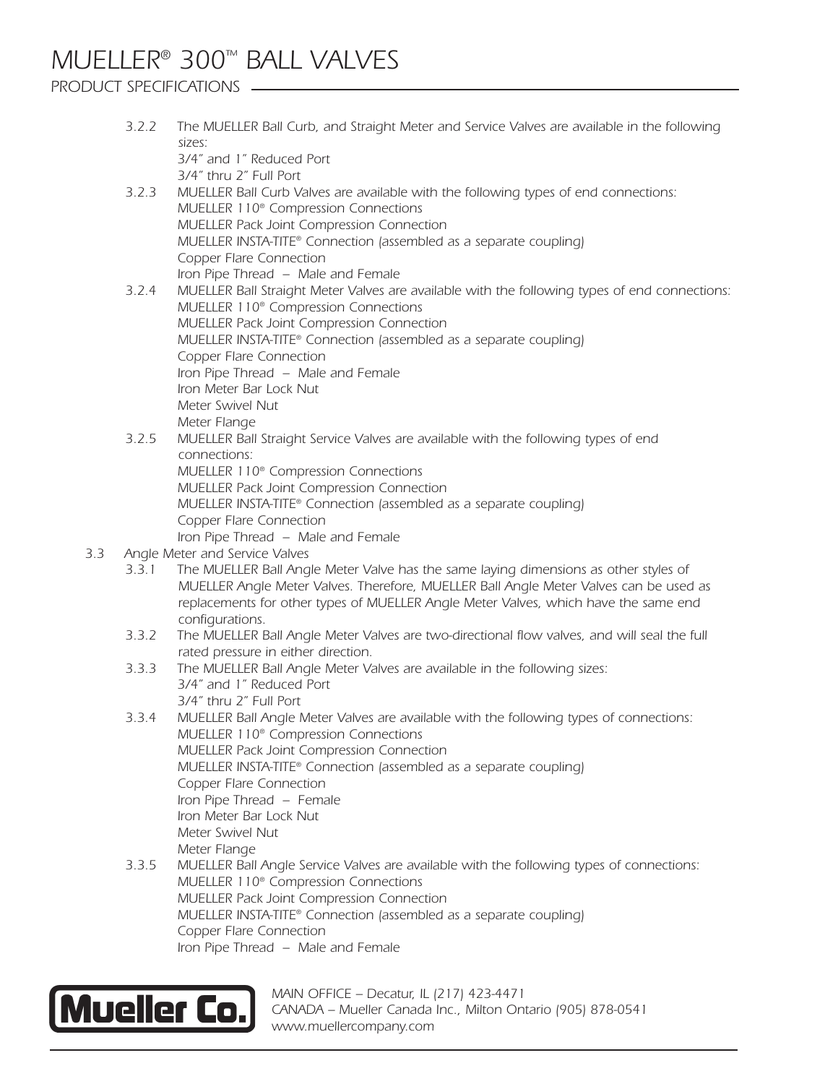# *MUELLER® 300™ BALL VALVES*

## *PRODUCT SPECIFICATIONS*

|     | 3.2.2 | The MUELLER Ball Curb, and Straight Meter and Service Valves are available in the following<br>sizes: |
|-----|-------|-------------------------------------------------------------------------------------------------------|
|     |       | 3/4" and 1" Reduced Port                                                                              |
|     |       | 3/4" thru 2" Full Port                                                                                |
|     | 3.2.3 | MUELLER Ball Curb Valves are available with the following types of end connections:                   |
|     |       | MUELLER 110 <sup>®</sup> Compression Connections                                                      |
|     |       | MUELLER Pack Joint Compression Connection                                                             |
|     |       | MUELLER INSTA-TITE® Connection (assembled as a separate coupling)                                     |
|     |       | Copper Flare Connection                                                                               |
|     |       | Iron Pipe Thread - Male and Female                                                                    |
|     | 3.2.4 | MUELLER Ball Straight Meter Valves are available with the following types of end connections:         |
|     |       | MUELLER 110 <sup>®</sup> Compression Connections                                                      |
|     |       | MUELLER Pack Joint Compression Connection                                                             |
|     |       | MUELLER INSTA-TITE <sup>®</sup> Connection (assembled as a separate coupling)                         |
|     |       | Copper Flare Connection                                                                               |
|     |       | Iron Pipe Thread - Male and Female                                                                    |
|     |       | Iron Meter Bar Lock Nut                                                                               |
|     |       | Meter Swivel Nut                                                                                      |
|     |       | Meter Flange                                                                                          |
|     | 3.2.5 | MUELLER Ball Straight Service Valves are available with the following types of end                    |
|     |       | connections:                                                                                          |
|     |       | MUELLER 110 <sup>®</sup> Compression Connections                                                      |
|     |       | MUELLER Pack Joint Compression Connection                                                             |
|     |       | MUELLER INSTA-TITE® Connection (assembled as a separate coupling)                                     |
|     |       | Copper Flare Connection                                                                               |
|     |       | Iron Pipe Thread - Male and Female                                                                    |
| 3.3 |       | Angle Meter and Service Valves                                                                        |
|     | 3.3.1 | The MUELLER Ball Angle Meter Valve has the same laying dimensions as other styles of                  |
|     |       | MUELLER Angle Meter Valves. Therefore, MUELLER Ball Angle Meter Valves can be used as                 |
|     |       | replacements for other types of MUELLER Angle Meter Valves, which have the same end                   |
|     |       | configurations.                                                                                       |
|     | 3.3.2 | The MUELLER Ball Angle Meter Valves are two-directional flow valves, and will seal the full           |
|     |       | rated pressure in either direction.                                                                   |
|     | 3.3.3 | The MUELLER Ball Angle Meter Valves are available in the following sizes:                             |
|     |       | 3/4" and 1" Reduced Port                                                                              |
|     |       | 3/4" thru 2" Full Port                                                                                |
|     | 3.3.4 | MUELLER Ball Angle Meter Valves are available with the following types of connections:                |
|     |       | MUELLER 110 <sup>®</sup> Compression Connections                                                      |
|     |       | MUELLER Pack Joint Compression Connection                                                             |
|     |       | MUELLER INSTA-TITE <sup>®</sup> Connection (assembled as a separate coupling)                         |
|     |       | Copper Flare Connection                                                                               |
|     |       | Iron Pipe Thread - Female                                                                             |
|     |       | Iron Meter Bar Lock Nut                                                                               |
|     |       | Meter Swivel Nut                                                                                      |
|     |       | Meter Flange                                                                                          |
|     | 3.3.5 | MUELLER Ball Angle Service Valves are available with the following types of connections:              |
|     |       | MUELLER 110 <sup>®</sup> Compression Connections                                                      |
|     |       |                                                                                                       |
|     |       | MUELLER Pack Joint Compression Connection                                                             |
|     |       | MUELLER INSTA-TITE <sup>®</sup> Connection (assembled as a separate coupling)                         |
|     |       | Copper Flare Connection                                                                               |
|     |       | Iron Pipe Thread - Male and Female                                                                    |
|     |       |                                                                                                       |



*MAIN OFFICE – Decatur, IL (217) 423-4471 CANADA – Mueller Canada Inc., Milton Ontario (905) 878-0541 www.muellercompany.com*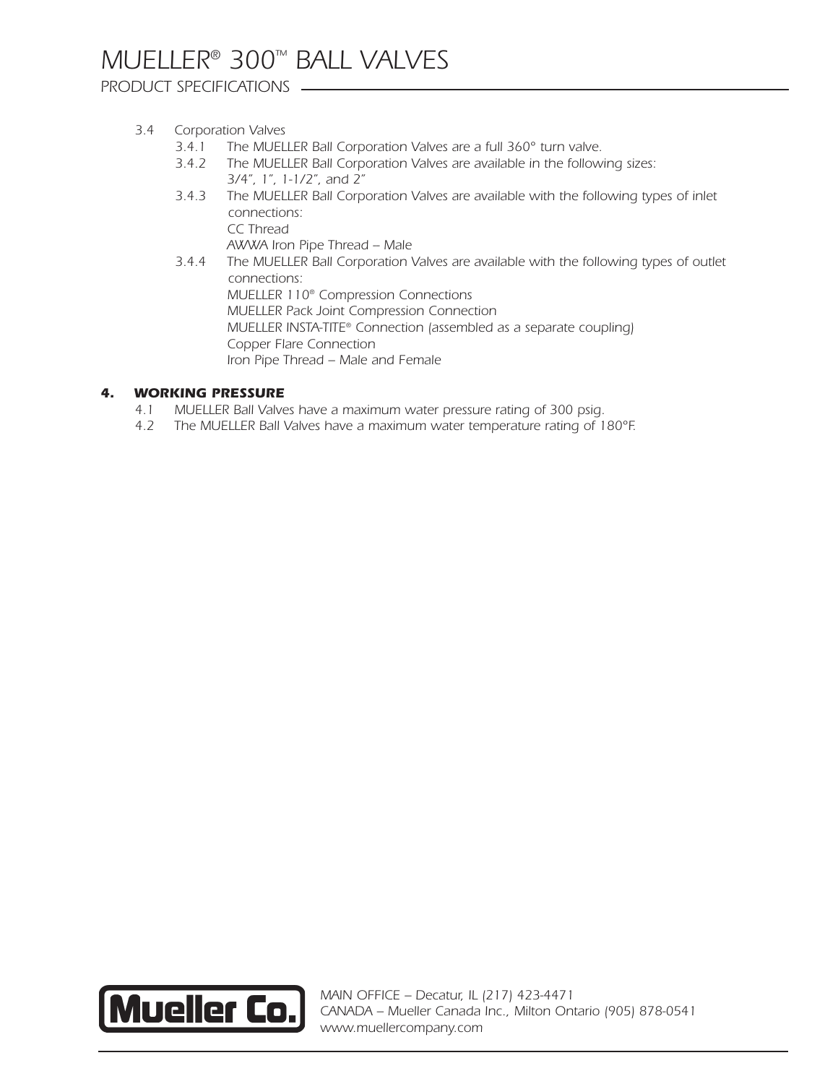*PRODUCT SPECIFICATIONS*

### *3.4 Corporation Valves*

- *3.4.1 The MUELLER Ball Corporation Valves are a full 360° turn valve.*
- *3.4.2 The MUELLER Ball Corporation Valves are available in the following sizes: 3/4", 1", 1-1/2", and 2"*
- *3.4.3 The MUELLER Ball Corporation Valves are available with the following types of inlet connections: CC Thread AWWA Iron Pipe Thread -- Male*
- *3.4.4 The MUELLER Ball Corporation Valves are available with the following types of outlet connections: MUELLER 110® Compression Connections MUELLER Pack Joint Compression Connection MUELLER INSTA-TITE® Connection (assembled as a separate coupling) Copper Flare Connection Iron Pipe Thread – Male and Female*

#### *4. WORKING PRESSURE*

- *4.1 MUELLER Ball Valves have a maximum water pressure rating of 300 psig.*
- *4.2 The MUELLER Ball Valves have a maximum water temperature rating of 180°F.*



*MAIN OFFICE – Decatur, IL (217) 423-4471 CANADA – Mueller Canada Inc., Milton Ontario (905) 878-0541 www.muellercompany.com*